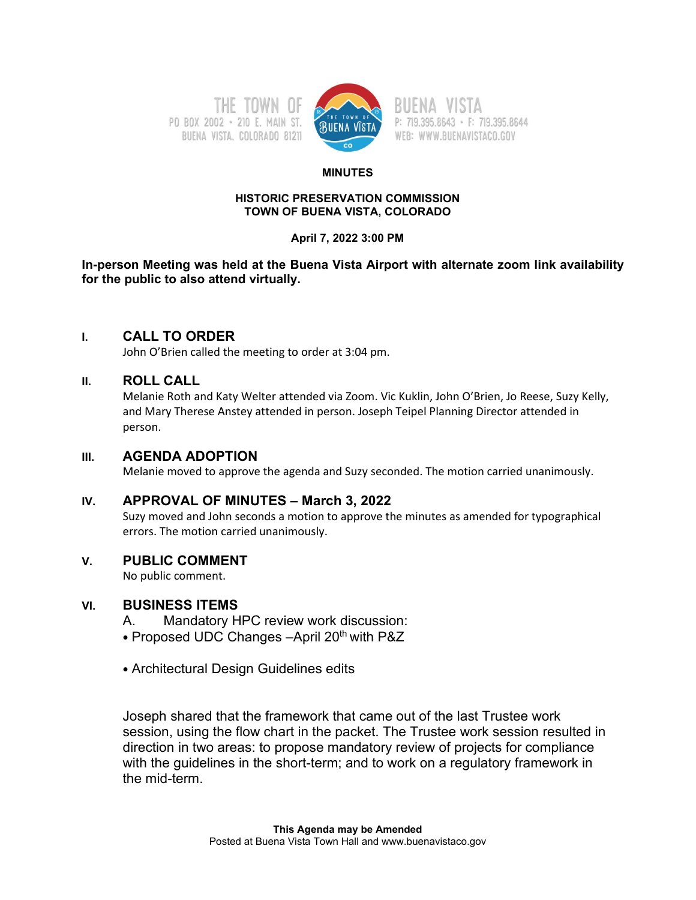



P: 719.395.8643 · F: 719.395.8644 WEB: WWW.BUENAVISTACO.GOV

#### **MINUTES**

#### **HISTORIC PRESERVATION COMMISSION TOWN OF BUENA VISTA, COLORADO**

### **April 7, 2022 3:00 PM**

**In-person Meeting was held at the Buena Vista Airport with alternate zoom link availability for the public to also attend virtually.** 

# **I. CALL TO ORDER**

John O'Brien called the meeting to order at 3:04 pm.

# **II. ROLL CALL**

Melanie Roth and Katy Welter attended via Zoom. Vic Kuklin, John O'Brien, Jo Reese, Suzy Kelly, and Mary Therese Anstey attended in person. Joseph Teipel Planning Director attended in person.

## **III. AGENDA ADOPTION**

Melanie moved to approve the agenda and Suzy seconded. The motion carried unanimously.

# **IV. APPROVAL OF MINUTES – March 3, 2022**

Suzy moved and John seconds a motion to approve the minutes as amended for typographical errors. The motion carried unanimously.

# **V. PUBLIC COMMENT**

No public comment.

# **VI. BUSINESS ITEMS**

A. Mandatory HPC review work discussion:

- Proposed UDC Changes April 20<sup>th</sup> with P&Z
- Architectural Design Guidelines edits

Joseph shared that the framework that came out of the last Trustee work session, using the flow chart in the packet. The Trustee work session resulted in direction in two areas: to propose mandatory review of projects for compliance with the guidelines in the short-term; and to work on a regulatory framework in the mid-term.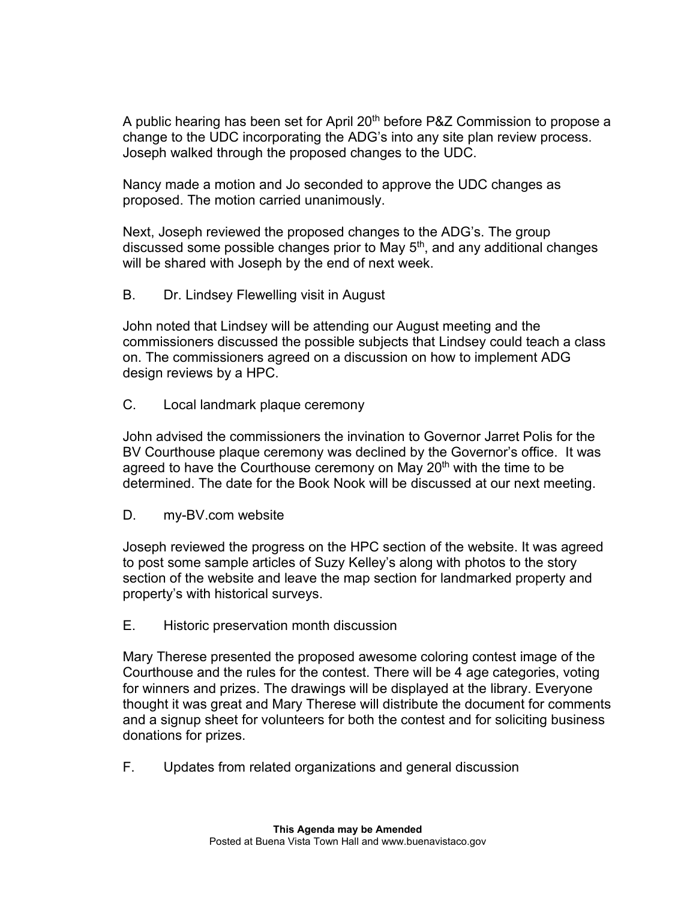A public hearing has been set for April 20<sup>th</sup> before P&Z Commission to propose a change to the UDC incorporating the ADG's into any site plan review process. Joseph walked through the proposed changes to the UDC.

Nancy made a motion and Jo seconded to approve the UDC changes as proposed. The motion carried unanimously.

Next, Joseph reviewed the proposed changes to the ADG's. The group discussed some possible changes prior to May  $5<sup>th</sup>$ , and any additional changes will be shared with Joseph by the end of next week.

B. Dr. Lindsey Flewelling visit in August

John noted that Lindsey will be attending our August meeting and the commissioners discussed the possible subjects that Lindsey could teach a class on. The commissioners agreed on a discussion on how to implement ADG design reviews by a HPC.

C. Local landmark plaque ceremony

John advised the commissioners the invination to Governor Jarret Polis for the BV Courthouse plaque ceremony was declined by the Governor's office. It was agreed to have the Courthouse ceremony on May  $20<sup>th</sup>$  with the time to be determined. The date for the Book Nook will be discussed at our next meeting.

D. my-BV.com website

Joseph reviewed the progress on the HPC section of the website. It was agreed to post some sample articles of Suzy Kelley's along with photos to the story section of the website and leave the map section for landmarked property and property's with historical surveys.

E. Historic preservation month discussion

Mary Therese presented the proposed awesome coloring contest image of the Courthouse and the rules for the contest. There will be 4 age categories, voting for winners and prizes. The drawings will be displayed at the library. Everyone thought it was great and Mary Therese will distribute the document for comments and a signup sheet for volunteers for both the contest and for soliciting business donations for prizes.

F. Updates from related organizations and general discussion